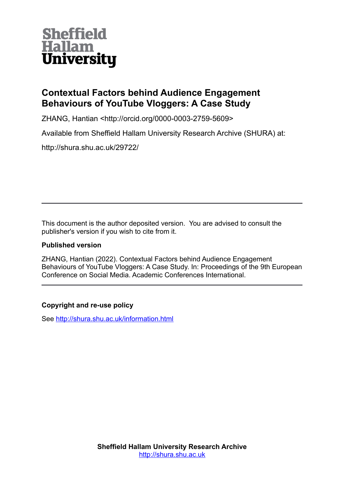

# **Contextual Factors behind Audience Engagement Behaviours of YouTube Vloggers: A Case Study**

ZHANG, Hantian <http://orcid.org/0000-0003-2759-5609>

Available from Sheffield Hallam University Research Archive (SHURA) at:

http://shura.shu.ac.uk/29722/

This document is the author deposited version. You are advised to consult the publisher's version if you wish to cite from it.

### **Published version**

ZHANG, Hantian (2022). Contextual Factors behind Audience Engagement Behaviours of YouTube Vloggers: A Case Study. In: Proceedings of the 9th European Conference on Social Media. Academic Conferences International.

## **Copyright and re-use policy**

See<http://shura.shu.ac.uk/information.html>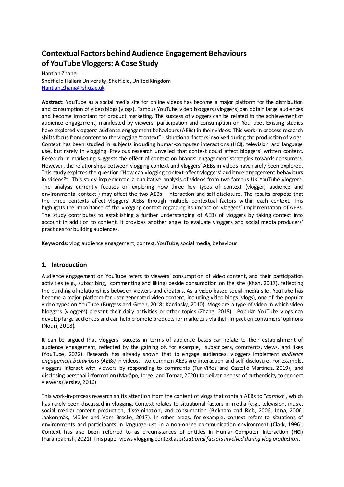## **Contextual Factors behind Audience Engagement Behaviours of YouTube Vloggers: A Case Study**

Hantian Zhang Sheffield Hallam University, Sheffield, United Kingdom [Hantian.Zhang@shu.ac.uk](mailto:Hantian.Zhang@shu.ac.uk)

**Abstract:** YouTube as a social media site for online videos has become a major platform for the distribution and consumption of video blogs (vlogs). Famous YouTube video bloggers (vloggers) can obtain large audiences and become important for product marketing. The success of vloggers can be related to the achievement of audience engagement, manifested by viewers' participation and consumption on YouTube. Existing studies have explored vloggers' audience engagement behaviours(AEBs) in their videos. This work-in-process research shifts focus fromcontent to the vlogging "context" - situational factors involved during the production of vlogs. Context has been studied in subjects including human-computer interactions (HCI), television and language use, but rarely in vlogging. Previous research unveiled that context could affect bloggers' written content. Research in marketing suggests the effect of context on brands' engagement strategies towards consumers. However, the relationships between vlogging context and vloggers' AEBs in videos have rarely been explored. This study explores the question "How can vlogging context affect vloggers' audience engagement behaviours in videos?" This study implemented a qualitative analysis of videos from two famous UK YouTube vloggers. The analysis currently focuses on exploring how three key types of context (vlogger, audience and environmental context ) may affect the two AEBs – interaction and self-disclosure. The results propose that the three contexts affect vloggers' AEBs through multiple contextual factors within each context. This highlights the importance of the vlogging context regarding its impact on vloggers' implementation of AEBs. The study contributes to establishing a further understanding of AEBs of vloggers by taking context into account in addition to content. It provides another angle to evaluate vloggers and social media producers' practices forbuilding audiences.

**Keywords:** vlog, audience engagement, context, YouTube, social media, behaviour

#### **1. Introduction**

Audience engagement on YouTube refers to viewers' consumption of video content, and their participation activities (e.g., subscribing, commenting and liking) beside consumption on the site (Khan, 2017), reflecting the building of relationships between viewers and creators. As a video-based social media site, YouTube has become a major platform for user-generated video content, including video blogs (vlogs), one of the popular video types on YouTube (Burgess and Green, 2018; Kaminsky, 2010). Vlogs are a type of video in which video bloggers (vloggers) present their daily activities or other topics (Zhang, 2018). Popular YouTube vlogs can develop large audiences and can help promote products for marketers via their impact on consumers' opinions (Nouri, 2018).

It can be argued that vloggers' success in terms of audience bases can relate to their establishment of audience engagement, reflected by the gaining of, for example, subscribers, comments, views, and likes (YouTube, 2022). Research has already shown that to engage audiences, vloggers implement *audience engagement behaviours (AEBs)* in videos. Two common AEBs are interaction and self-disclosure. For example, vloggers interact with viewers by responding to comments (Tur-Viñes and Castelló-Martínez, 2019), and disclosing personal information (Marôpo, Jorge, and Tomaz, 2020) to deliver a sense of authenticity to connect viewers (Jerslev, 2016).

This work-in-process research shifts attention from the content of vlogs that contain AEBs to "*context",* which has rarely been discussed in vlogging. Context relates to situational factors in media (e.g., television, music, social media) content production, dissemination, and consumption (Bickham and Rich, 2006; Lena, 2006; Jaakonmäk, Müller and Vom Brocke, 2017). In other areas, for example, context refers to situations of environments and participants in language use in a non-online communication environment (Clark, 1996). Context has also been referred to as circumstances of entities in Human-Computer Interaction (HCI) (Farahbakhsh, 2021). This paper views vlogging context as *situational factors involved during vlog production*.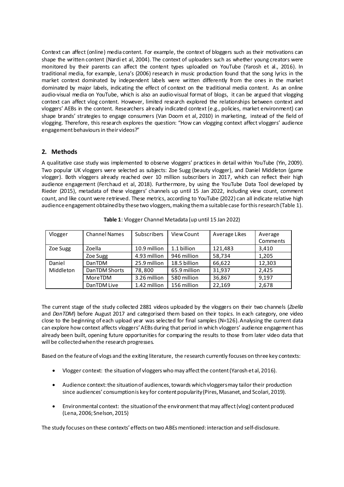Context can affect (online) media content. For example, the context of bloggers such as their motivations can shape the written content (Nardi et al, 2004). The context of uploaders such as whether young creators were monitored by their parents can affect the content types uploaded on YouTube (Yarosh et al., 2016). In traditional media, for example, Lena's (2006) research in music production found that the song lyrics in the market context dominated by independent labels were written differently from the ones in the market dominated by major labels, indicating the effect of context on the traditional media content. As an online audio-visual media on YouTube, which is also an audio-visual format of blogs, it can be argued that vlogging context can affect vlog content. However, limited research explored the relationships between context and vloggers' AEBs in the content. Researchers already indicated context (e.g., policies, market environment) can shape brands' strategies to engage consumers (Van Doorn et al, 2010) in marketing, instead of the field of vlogging. Therefore, this research explores the question: "How can vlogging context affect vloggers' audience engagement behaviours in their videos?"

#### **2. Methods**

A qualitative case study was implemented to observe vloggers' practices in detail within YouTube (Yin, 2009). Two popular UK vloggers were selected as subjects: Zoe Sugg (beauty vlogger), and Daniel Middleton (game vlogger). Both vloggers already reached over 10 million subscribers in 2017, which can reflect their high audience engagement (Ferchaud et al, 2018). Furthermore, by using the YouTube Data Tool developed by Rieder (2015), metadata of these vloggers' channels up until 15 Jan 2022, including view count, comment count, and like count were retrieved. These metrics, according to YouTube (2022) can all indicate relative high audience engagement obtained by these two vloggers, making them a suitable case for this research(Table 1).

| Vlogger             | <b>Channel Names</b> | Subscribers  | View Count   | Average Likes | Average<br>Comments |
|---------------------|----------------------|--------------|--------------|---------------|---------------------|
| Zoe Sugg            | Zoella               | 10.9 million | 1.1 billion  | 121,483       | 3,410               |
|                     | Zoe Sugg             | 4.93 million | 946 million  | 58,734        | 1,205               |
| Daniel<br>Middleton | <b>DanTDM</b>        | 25.9 million | 18.5 billion | 66.622        | 12.303              |
|                     | DanTDM Shorts        | 78,800       | 65.9 million | 31,937        | 2,425               |
|                     | MoreTDM              | 3.26 million | 580 million  | 36,867        | 9,197               |
|                     | DanTDM Live          | 1.42 million | 156 million  | 22,169        | 2,678               |

The current stage of the study collected 2881 videos uploaded by the vloggers on their two channels (*Zoella* and *DanTDM*) before August 2017 and categorised them based on their topics. In each category, one video close to the beginning of each upload year was selected for final samples (N=126). Analysing the current data can explore howcontext affects vloggers' AEBs during that period in which vloggers' audience engagement has already been built, opening future opportunities for comparing the results to those from later video data that will be collected when the research progresses.

Based on the feature of vlogs and the exiting literature, the research currently focuses on three key contexts:

- Vlogger context: the situation of vloggers who may affect the content(Yarosh et al, 2016).
- Audience context: the situation of audiences, towards which vloggers may tailor their production since audiences' consumptionis key for content popularity(Pires, Masanet, and Scolari, 2019).
- Environmental context: the situation of the environment that may affect (vlog) content produced (Lena, 2006; Snelson, 2015)

The study focuses on these contexts' effects on two ABEs mentioned: interaction and self-disclosure.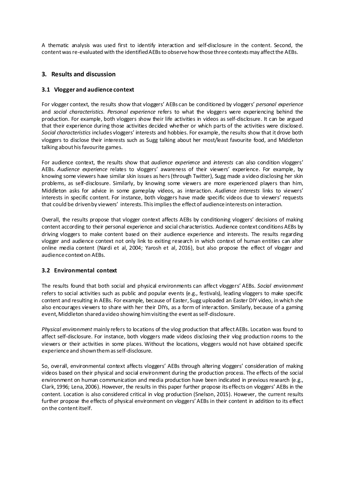A thematic analysis was used first to identify interaction and self-disclosure in the content. Second, the content wasre-evaluated with the identified AEBs to observehowthose three contextsmay affect the AEBs.

#### **3. Results and discussion**

#### **3.1 Vlogger and audience context**

For vlogger context, the results show that vloggers' AEBs can be conditioned by vloggers' *personal experience* and *social characteristics. Personal experience* refers to what the vloggers were experiencing behind the production. For example, both vloggers show their life activities in videos as self-disclosure. It can be argued that their experience during those activities decided whether or which parts of the activities were disclosed. *Social characteristics* includes vloggers' interests and hobbies. For example, the results show that it drove both vloggers to disclose their interests such as Sugg talking about her most/least favourite food, and Middleton talking about his favourite games.

For audience context, the results show that *audience experience* and *interests* can also condition vloggers' AEBs*. Audience experience* relates to vloggers' awareness of their viewers' experience. For example, by knowing some viewers have similar skin issues as hers(through Twitter), Sugg made a video disclosing her skin problems, as self-disclosure. Similarly, by knowing some viewers are more experienced players than him, Middleton asks for advice in some gameplay videos, as interaction. *Audience interests* links to viewers' interests in specific content. For instance, both vloggers have made specific videos due to viewers' requests that could be driven by viewers' interests. This impliesthe effectof audience interests on interaction.

Overall, the results propose that vlogger context affects AEBs by conditioning vloggers' decisions of making content according to their personal experience and social characteristics. Audience context conditions AEBs by driving vloggers to make content based on their audience experience and interests. The results regarding vlogger and audience context not only link to exiting research in which context of human entities can alter online media content (Nardi et al, 2004; Yarosh et al, 2016), but also propose the effect of vlogger and audience context on AEBs.

#### **3.2 Environmental context**

The results found that both social and physical environments can affect vloggers' AEBs. *Social environment* refers to social activities such as public and popular events (e.g., festivals), leading vloggers to make specific content and resulting in AEBs. For example*,* because of Easter, Sugg uploaded an Easter DIY video, in which she also encourages viewers to share with her their DIYs, as a form of interaction. Similarly, because of a gaming event, Middleton shared a video showing him visiting the event as self-disclosure.

*Physical environment* mainly refers to locations of the vlog production that affect AEBs. Location was found to affect self-disclosure. For instance, both vloggers made videos disclosing their vlog production rooms to the viewers or their activities in some places. Without the locations, vloggers would not have obtained specific experience and shownthem as self-disclosure.

So, overall, environmental context affects vloggers' AEBs through altering vloggers' consideration of making videos based on their physical and social environment during the production process. The effects of the social environment on human communication and media production have been indicated in previous research (e.g., Clark, 1996; Lena, 2006). However, the results in this paper further propose its effects on vloggers' AEBs in the content. Location is also considered critical in vlog production (Snelson, 2015). However, the current results further propose the effects of physical environment on vloggers' AEBs in their content in addition to its effect on the content itself.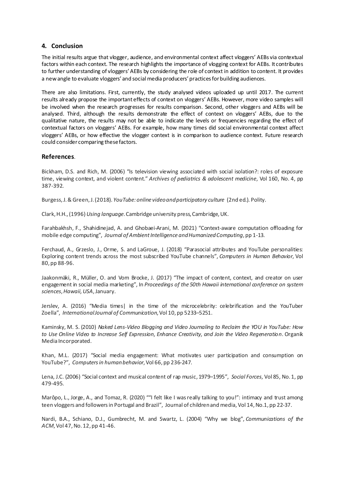#### **4. Conclusion**

The initial results argue that vlogger, audience, and environmental context affect vloggers' AEBs via contextual factors within each context. The research highlights the importance of vlogging context for AEBs. It contributes to further understanding of vloggers'AEBs by considering the role of context in addition to content. It provides a new angle to evaluate vloggers' and social media producers' practices for building audiences.

There are also limitations. First, currently, the study analysed videos uploaded up until 2017. The current results already propose the important effects of context on vloggers' AEBs. However, more video samples will be involved when the research progresses for results comparison. Second, other vloggers and AEBs will be analysed. Third, although the results demonstrate the effect of context on vloggers' AEBs, due to the qualitative nature, the results may not be able to indicate the levels or frequencies regarding the effect of contextual factors on vloggers' AEBs. For example, how many times did social environmental context affect vloggers' AEBs, or how effective the vlogger context is in comparison to audience context. Future research could consider comparing these factors.

#### **References**.

Bickham, D.S. and Rich, M. (2006) "Is television viewing associated with social isolation?: roles of exposure time, viewing context, and violent content." *Archives of pediatrics & adolescent medicine*, Vol 160, No. 4, pp 387-392.

Burgess,J.& Green, J. (2018). *YouTube: online video and participatory culture* (2nd ed.)*.* Polity.

Clark, H.H., (1996)*Using language*. Cambridge university press, Cambridge, UK.

Farahbakhsh, F., Shahidinejad, A. and Ghobaei-Arani, M. (2021) "Context‐aware computation offloading for mobile edge computing", *Journal of Ambient Intelligence and Humanized Computing*, pp 1-13.

Ferchaud, A., Grzeslo, J., Orme, S. and LaGroue, J. (2018) "Parasocial attributes and YouTube personalities: Exploring content trends across the most subscribed YouTube channels", *Computers in Human Behavior*, Vol 80, pp 88-96.

Jaakonmäki, R., Müller, O. and Vom Brocke, J. (2017) "The impact of content, context, and creator on user engagement in social media marketing", In *Proceedings of the 50th Hawaii international conference on system sciences*, *Hawaii, USA*, January.

Jerslev, A. (2016) "Media times| in the time of the microcelebrity: celebrification and the YouTuber Zoella", *International Journal of Communication*,Vol 10, pp 5233–5251.

Kaminsky, M. S. (2010) *Naked Lens-Video Blogging and Video Journaling to Reclaim the YOU in YouTube: How to Use Online Video to Increase Self Expression, Enhance Creativity, and Join the Video Regeneration*. Organik Media Incorporated.

Khan, M.L. (2017) "Social media engagement: What motivates user participation and consumption on YouTube?", *Computers in human behavior*, Vol 66, pp 236-247.

Lena, J.C. (2006) "Social context and musical content of rap music, 1979–1995", *Social Forces*, Vol 85, No. 1, pp 479-495.

Marôpo, L., Jorge, A., and Tomaz, R. (2020) ""I felt like I was really talking to you!": intimacy and trust among teen vloggers and followers in Portugal and Brazil", Journal of children and media, Vol 14, No.1, pp 22-37.

Nardi, B.A., Schiano, D.J., Gumbrecht, M. and Swartz, L. (2004) "Why we blog", *Communications of the ACM*,Vol 47, No. 12, pp 41-46.